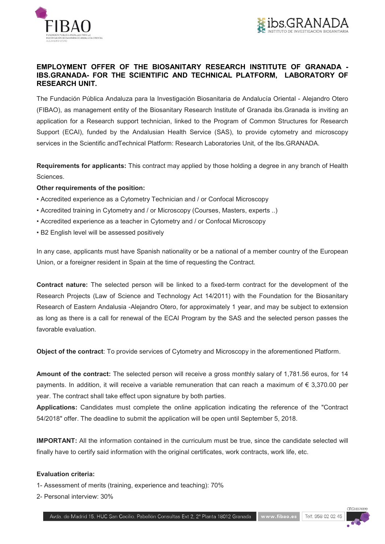



# EMPLOYMENT OFFER OF THE BIOSANITARY RESEARCH INSTITUTE OF GRANADA - IBS.GRANADA- FOR THE SCIENTIFIC AND TECHNICAL PLATFORM, LABORATORY OF RESEARCH UNIT.

The Fundación Pública Andaluza para la Investigación Biosanitaria de Andalucía Oriental - Alejandro Otero (FIBAO), as management entity of the Biosanitary Research Institute of Granada ibs.Granada is inviting an application for a Research support technician, linked to the Program of Common Structures for Research Support (ECAI), funded by the Andalusian Health Service (SAS), to provide cytometry and microscopy services in the Scientific andTechnical Platform: Research Laboratories Unit, of the Ibs.GRANADA.

Requirements for applicants: This contract may applied by those holding a degree in any branch of Health Sciences.

## Other requirements of the position:

- Accredited experience as a Cytometry Technician and / or Confocal Microscopy
- Accredited training in Cytometry and / or Microscopy (Courses, Masters, experts ..)
- Accredited experience as a teacher in Cytometry and / or Confocal Microscopy
- B2 English level will be assessed positively

In any case, applicants must have Spanish nationality or be a national of a member country of the European Union, or a foreigner resident in Spain at the time of requesting the Contract.

Contract nature: The selected person will be linked to a fixed-term contract for the development of the Research Projects (Law of Science and Technology Act 14/2011) with the Foundation for the Biosanitary Research of Eastern Andalusia -Alejandro Otero, for approximately 1 year, and may be subject to extension as long as there is a call for renewal of the ECAI Program by the SAS and the selected person passes the favorable evaluation.

Object of the contract: To provide services of Cytometry and Microscopy in the aforementioned Platform.

Amount of the contract: The selected person will receive a gross monthly salary of 1,781.56 euros, for 14 payments. In addition, it will receive a variable remuneration that can reach a maximum of € 3,370.00 per year. The contract shall take effect upon signature by both parties.

Applications: Candidates must complete the online application indicating the reference of the "Contract 54/2018" offer. The deadline to submit the application will be open until September 5, 2018.

IMPORTANT: All the information contained in the curriculum must be true, since the candidate selected will finally have to certify said information with the original certificates, work contracts, work life, etc.

## Evaluation criteria:

- 1- Assessment of merits (training, experience and teaching): 70%
- 2- Personal interview: 30%